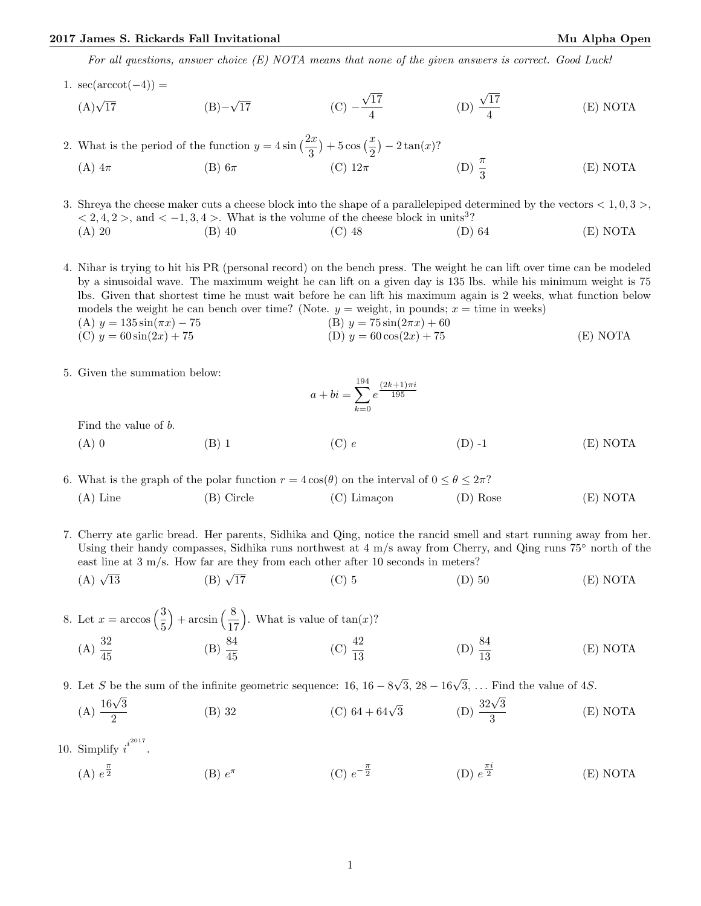## 2017 James S. Rickards Fall Invitational and Mu Alpha Open Mu Alpha Open

For all questions, answer choice (E) NOTA means that none of the given answers is correct. Good Luck!

1.  $\sec(\operatorname{arccot}(-4)) =$ 

sec(arccot(-4)) =   
(A)√17 (B)−√17 (C) −
$$
\frac{\sqrt{17}}{4}
$$
 (D)  $\frac{\sqrt{17}}{4}$  (E) NOTA

2. What is the period of the function  $y = 4\sin\left(\frac{2x}{3}\right) + 5\cos\left(\frac{x}{2}\right) - 2\tan(x)$ ? (A)  $4\pi$  (B)  $6\pi$  (C)  $12\pi$  (D)  $\frac{\pi}{2}$ (D)  $\frac{\pi}{2}$ (E) NOTA

3. Shreya the cheese maker cuts a cheese block into the shape of a parallelepiped determined by the vectors  $< 1, 0, 3 >$ ,  $< 2, 4, 2 >$ , and  $< -1, 3, 4 >$ . What is the volume of the cheese block in units<sup>3</sup>? (A) 20 (B) 40 (C) 48 (D) 64 (E) NOTA

4. Nihar is trying to hit his PR (personal record) on the bench press. The weight he can lift over time can be modeled by a sinusoidal wave. The maximum weight he can lift on a given day is 135 lbs. while his minimum weight is 75 lbs. Given that shortest time he must wait before he can lift his maximum again is 2 weeks, what function below models the weight he can bench over time? (Note.  $y =$  weight, in pounds;  $x =$  time in weeks) (A)  $y = 135 \sin(\pi x) - 75$  (B)  $y = 75 \sin(2\pi x) + 60$ 

(C) 
$$
y = 60 \sin(2x) + 75
$$
 (D)  $y = 60 \cos(2x) + 75$  (E) NOTA

5. Given the summation below:

$$
a + bi = \sum_{k=0}^{194} e^{\frac{(2k+1)\pi i}{195}}
$$

Find the value of b.

(A) 0 (B) 1 (C) 
$$
e
$$
 (D) -1 (E) NOTA

6. What is the graph of the polar function  $r = 4 \cos(\theta)$  on the interval of  $0 \le \theta \le 2\pi$ ? (A) Line (B) Circle (C) Limaçon (D) Rose (E) NOTA

7. Cherry ate garlic bread. Her parents, Sidhika and Qing, notice the rancid smell and start running away from her. Using their handy compasses, Sidhika runs northwest at 4 m/s away from Cherry, and Qing runs 75◦ north of the east line at  $3 \text{ m/s}$ . How far are they from each other after 10 seconds in meters?

 $(A)$   $\sqrt{13}$  $(B)$   $\sqrt{17}$ (C) 5 (D) 50 (E) NOTA

8. Let  $x = \arccos\left(\frac{3}{5}\right)$  $+ \arcsin \left(\frac{8}{17}\right)$ ). What is value of  $tan(x)$ ?  $(A) \frac{32}{45}$ (B)  $\frac{84}{45}$  (C)  $\frac{42}{13}$ (D)  $\frac{84}{13}$ (E) NOTA

9. Let S be the sum of the infinite geometric sequence:  $16, 16 - 8$  $\sqrt{3}$ , 28 – 16 $\sqrt{3}$ , ... Find the value of 4*S*.

(A) 
$$
\frac{16\sqrt{3}}{2}
$$
 (B) 32 (C) 64 + 64 $\sqrt{3}$  (D)  $\frac{32\sqrt{3}}{3}$  (E) NOTA

10. Simplify  $i^{i^{2017}}$ .

> (A)  $e^{\frac{\pi}{2}}$  $\frac{\pi}{2}$  (B)  $e^{\pi}$ (C)  $e^{-\frac{\pi}{2}}$  $\frac{\pi}{2}$  (D)  $e^{\frac{\pi i}{2}}$  $(E) NOTA$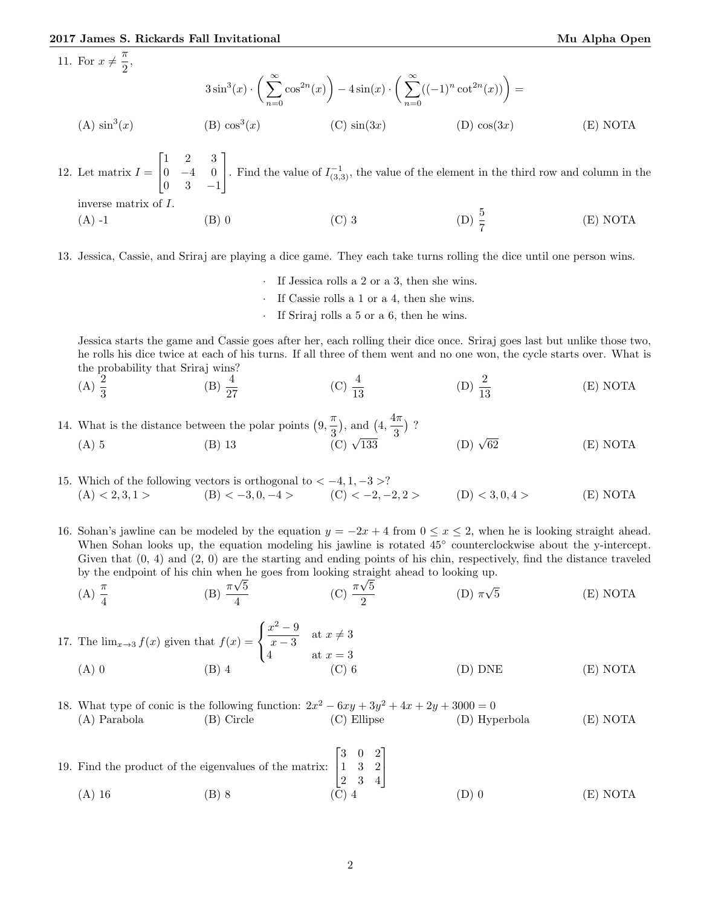## 2017 James S. Rickards Fall Invitational Number of Alpha Open Mu Alpha Open Mu Alpha Open

11. For  $x \neq \frac{\pi}{2}$ 

For 
$$
x \neq \frac{\pi}{2}
$$
,  
\n
$$
3\sin^3(x) \cdot \left(\sum_{n=0}^{\infty} \cos^{2n}(x)\right) - 4\sin(x) \cdot \left(\sum_{n=0}^{\infty} ((-1)^n \cot^{2n}(x))\right) =
$$
\n(A)  $\sin^3(x)$  \t(B)  $\cos^3(x)$  \t(C)  $\sin(3x)$  \t(D)  $\cos(3x)$  \t(E) NOTA

12. Let matrix  $I =$  $\lceil$  $\overline{1}$ 1 2 3  $0 -4 0$  $0 \t 3 \t -1$ 1 Find the value of  $I_{(3,3)}^{-1}$ , the value of the element in the third row and column in the inverse matrix of I. (A) -1 (B) 0 (C) 3 (D)  $\frac{5}{7}$ (D)  $\frac{5}{7}$ (E) NOTA

13. Jessica, Cassie, and Sriraj are playing a dice game. They each take turns rolling the dice until one person wins.

- · If Jessica rolls a 2 or a 3, then she wins.
- If Cassie rolls a 1 or a 4, then she wins.
- If Sriraj rolls a 5 or a 6, then he wins.

Jessica starts the game and Cassie goes after her, each rolling their dice once. Sriraj goes last but unlike those two, he rolls his dice twice at each of his turns. If all three of them went and no one won, the cycle starts over. What is the probability that Sriraj wins?

- (A)  $\frac{2}{3}$ (B)  $\frac{4}{27}$ (C)  $\frac{4}{13}$ (D)  $\frac{2}{13}$ (E) NOTA
- 14. What is the distance between the polar points  $(9, \frac{\pi}{2})$  $\frac{\pi}{3}$ , and  $\left(4, \frac{4\pi}{3}\right)$  $\frac{1}{3}$ )? (A) 5 (B) 13 (C)  $\sqrt{133}$  (D)  $\sqrt{130}$ (D)  $\sqrt{62}$  (E) NOTA

15. Which of the following vectors is orthogonal to  $<-4, 1, -3>$ ? (A)  $\langle 2,3,1 \rangle$  (B)  $\langle -3,0,-4 \rangle$  (C)  $\langle -2,-2,2 \rangle$  (D)  $\langle 3,0,4 \rangle$  (E) NOTA

16. Sohan's jawline can be modeled by the equation  $y = -2x + 4$  from  $0 \le x \le 2$ , when he is looking straight ahead. When Sohan looks up, the equation modeling his jawline is rotated 45◦ counterclockwise about the y-intercept. Given that  $(0, 4)$  and  $(2, 0)$  are the starting and ending points of his chin, respectively, find the distance traveled by the endpoint of his chin when he goes from looking straight ahead to looking up. √

(A)  $\frac{\pi}{4}$  $(B)$   $\frac{\pi}{4}$ 5 4 (C)  $\frac{\pi\sqrt{5}}{2}$ 2  $(D)$   $\pi$ √ 5 (E) NOTA

17. The  $\lim_{x\to 3} f(x)$  given that  $f(x) =$  $\sqrt{ }$ J  $\mathcal{L}$  $x^2-9$  $\frac{c}{x-3}$  at  $x \neq 3$ 4 at  $x = 3$ (A) 0 (B) 4 (C) 6 (D) DNE (E) NOTA

18. What type of conic is the following function:  $2x^2 - 6xy + 3y^2 + 4x + 2y + 3000 = 0$ (A) Parabola (B) Circle (C) Ellipse (D) Hyperbola (E) NOTA

19. Find the product of the eigenvalues of the matrix:  $\lceil$  $\overline{1}$ 3 0 2 1 3 2 2 3 4 1  $\overline{1}$ (A) 16 (B) 8 (C) 4 (D) 0 (E) NOTA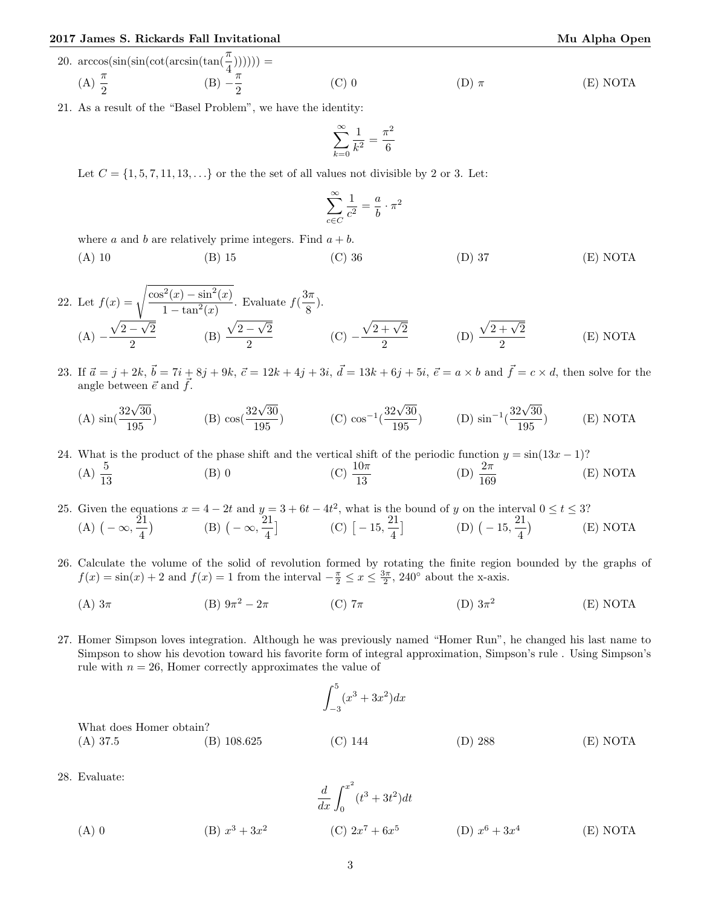## 2017 James S. Rickards Fall Invitational and Mu Alpha Open Mu Alpha Open

20. 
$$
\arccos(\sin(\sin(\cot(\arcsin(\tan(\frac{\pi}{4})))))) =
$$
  
\n(A)  $\frac{\pi}{2}$  \n(B)  $-\frac{\pi}{2}$  \n(C) 0 \n(D)  $\pi$  \n(E) NOTA

21. As a result of the "Basel Problem", we have the identity:

$$
\sum_{k=0}^{\infty} \frac{1}{k^2} = \frac{\pi^2}{6}
$$

Let  $C = \{1, 5, 7, 11, 13, \ldots\}$  or the the set of all values not divisible by 2 or 3. Let:

$$
\sum_{c \in C}^{\infty} \frac{1}{c^2} = \frac{a}{b} \cdot \pi^2
$$

where a and b are relatively prime integers. Find  $a + b$ .

(A) 10 (B) 15 (C) 36 (D) 37 (E) NOTA

22. Let 
$$
f(x) = \sqrt{\frac{\cos^2(x) - \sin^2(x)}{1 - \tan^2(x)}}
$$
. Evaluate  $f(\frac{3\pi}{8})$ .  
\n(A)  $-\frac{\sqrt{2 - \sqrt{2}}}{2}$  (B)  $\frac{\sqrt{2 - \sqrt{2}}}{2}$  (C)  $-\frac{\sqrt{2 + \sqrt{2}}}{2}$  (D)  $\frac{\sqrt{2 + \sqrt{2}}}{2}$  (E) NOTA

23. If  $\vec{a} = j + 2k$ ,  $\vec{b} = 7i + 8j + 9k$ ,  $\vec{c} = 12k + 4j + 3i$ ,  $\vec{d} = 13k + 6j + 5i$ ,  $\vec{e} = a \times b$  and  $\vec{f} = c \times d$ , then solve for the angle between  $\vec{e}$  and  $\vec{f}$ .

(A) 
$$
\sin(\frac{32\sqrt{30}}{195})
$$
 (B)  $\cos(\frac{32\sqrt{30}}{195})$  (C)  $\cos^{-1}(\frac{32\sqrt{30}}{195})$  (D)  $\sin^{-1}(\frac{32\sqrt{30}}{195})$  (E) NOTA

24. What is the product of the phase shift and the vertical shift of the periodic function  $y = \sin(13x - 1)$ ? (A)  $\frac{5}{13}$  (B) 0 (C)  $\frac{10\pi}{13}$  (D)  $\frac{2\pi}{169}$ (E) NOTA

25. Given the equations  $x = 4 - 2t$  and  $y = 3 + 6t - 4t^2$ , what is the bound of y on the interval  $0 \le t \le 3$ ? (A)  $(-\infty, \frac{21}{4})$  $\frac{21}{4}$ ) (B)  $(-\infty, \frac{21}{4})$  $\left[\frac{21}{4}\right]$  (C)  $\left[-15, \frac{21}{4}\right]$  $\left( \frac{21}{4} \right]$  (D)  $\left( -15, \frac{21}{4} \right)$  $\frac{1}{4}$ (E) NOTA

- 26. Calculate the volume of the solid of revolution formed by rotating the finite region bounded by the graphs of  $f(x) = \sin(x) + 2$  and  $f(x) = 1$  from the interval  $-\frac{\pi}{2} \le x \le \frac{3\pi}{2}$ , 240° about the x-axis.
	- (A)  $3\pi$  (B)  $9\pi^2 2\pi$  $(C)$  7π (D)  $3\pi^2$ (E) NOTA
- 27. Homer Simpson loves integration. Although he was previously named "Homer Run", he changed his last name to Simpson to show his devotion toward his favorite form of integral approximation, Simpson's rule . Using Simpson's rule with  $n = 26$ , Homer correctly approximates the value of

$$
\int_{-3}^{5} (x^3 + 3x^2) dx
$$
  
What does Homer obtain?  
(A) 37.5 (B) 108.625 (C) 144 (D) 288 (E) NOTA

28. Evaluate:

(A) 0 
$$
\frac{d}{dx} \int_0^{x^2} (t^3 + 3t^2) dt
$$
  
(B)  $x^3 + 3x^2$  (C)  $2x^7 + 6x^5$  (D)  $x^6 + 3x^4$  (E) NOTA